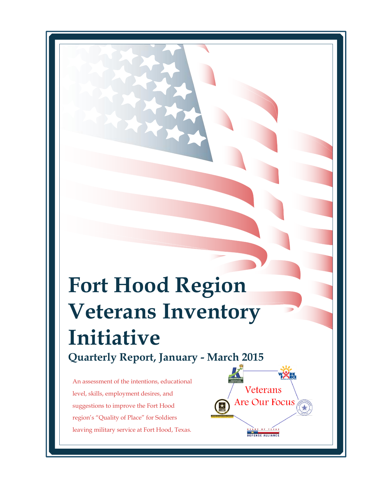# **Fort Hood Region Veterans Inventory Initiative Quarterly Report, January - March 2015**

Veterans

Are Our Focus

OF TEXA DEFENSE ALLIANCE

An assessment of the intentions, educational level, skills, employment desires, and suggestions to improve the Fort Hood region's "Quality of Place" for Soldiers leaving military service at Fort Hood, Texas.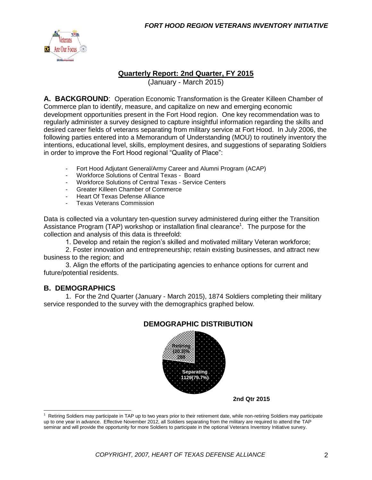

#### **Quarterly Report: 2nd Quarter, FY 2015**

(January - March 2015)

**A. BACKGROUND**: Operation Economic Transformation is the Greater Killeen Chamber of Commerce plan to identify, measure, and capitalize on new and emerging economic development opportunities present in the Fort Hood region. One key recommendation was to regularly administer a survey designed to capture insightful information regarding the skills and desired career fields of veterans separating from military service at Fort Hood. In July 2006, the following parties entered into a Memorandum of Understanding (MOU) to routinely inventory the intentions, educational level, skills, employment desires, and suggestions of separating Soldiers in order to improve the Fort Hood regional "Quality of Place":

- Fort Hood Adjutant General/Army Career and Alumni Program (ACAP)
- Workforce Solutions of Central Texas Board
- Workforce Solutions of Central Texas Service Centers
- Greater Killeen Chamber of Commerce
- Heart Of Texas Defense Alliance
- Texas Veterans Commission

Data is collected via a voluntary ten-question survey administered during either the Transition Assistance Program (TAP) workshop or installation final clearance<sup>1</sup>. The purpose for the collection and analysis of this data is threefold:

1. Develop and retain the region's skilled and motivated military Veteran workforce;

2. Foster innovation and entrepreneurship; retain existing businesses, and attract new business to the region; and

3. Align the efforts of the participating agencies to enhance options for current and future/potential residents.

#### **B. DEMOGRAPHICS**

1. For the 2nd Quarter (January - March 2015), 1874 Soldiers completing their military service responded to the survey with the demographics graphed below.



#### **DEMOGRAPHIC DISTRIBUTION**

**2nd Qtr 2015**

 $1$  Retiring Soldiers may participate in TAP up to two years prior to their retirement date, while non-retiring Soldiers may participate up to one year in advance. Effective November 2012, all Soldiers separating from the military are required to attend the TAP seminar and will provide the opportunity for more Soldiers to participate in the optional Veterans Inventory Initiative survey.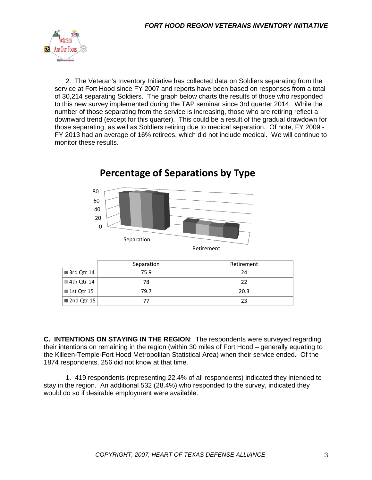

2. The Veteran's Inventory Initiative has collected data on Soldiers separating from the service at Fort Hood since FY 2007 and reports have been based on responses from a total of 30,214 separating Soldiers. The graph below charts the results of those who responded to this new survey implemented during the TAP seminar since 3rd quarter 2014. While the number of those separating from the service is increasing, those who are retiring reflect a downward trend (except for this quarter). This could be a result of the gradual drawdown for those separating, as well as Soldiers retiring due to medical separation. Of note, FY 2009 - FY 2013 had an average of 16% retirees, which did not include medical. We will continue to monitor these results.



# **Percentage of Separations by Type**

|                                          | Separation | Retirement |
|------------------------------------------|------------|------------|
| $\blacksquare$ 3rd Qtr 14                | 75.9       | 24         |
| ■ 4th Qtr 14                             | 78         | 22         |
| ■ 1st Qtr 15                             | 79.7       | 20.3       |
| $\blacksquare$ 2nd Qtr 15 $\blacksquare$ |            | 23         |

**C. INTENTIONS ON STAYING IN THE REGION**: The respondents were surveyed regarding their intentions on remaining in the region (within 30 miles of Fort Hood – generally equating to the Killeen-Temple-Fort Hood Metropolitan Statistical Area) when their service ended. Of the 1874 respondents, 256 did not know at that time.

1. 419 respondents (representing 22.4% of all respondents) indicated they intended to stay in the region. An additional 532 (28.4%) who responded to the survey, indicated they would do so if desirable employment were available.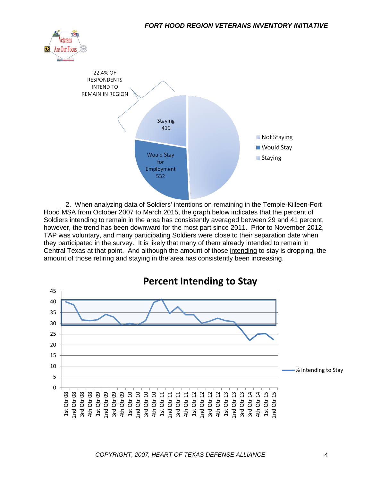



2. When analyzing data of Soldiers' intentions on remaining in the Temple-Killeen-Fort Hood MSA from October 2007 to March 2015, the graph below indicates that the percent of Soldiers intending to remain in the area has consistently averaged between 29 and 41 percent, however, the trend has been downward for the most part since 2011. Prior to November 2012, TAP was voluntary, and many participating Soldiers were close to their separation date when they participated in the survey. It is likely that many of them already intended to remain in Central Texas at that point. And although the amount of those intending to stay is dropping, the amount of those retiring and staying in the area has consistently been increasing.

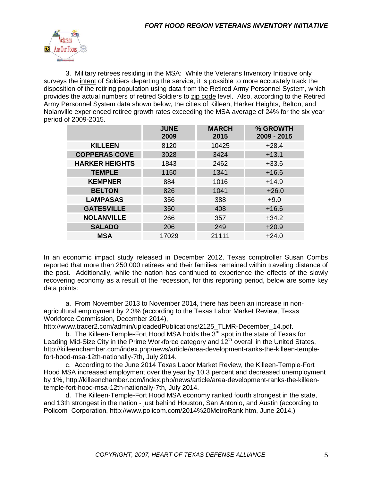

3. Military retirees residing in the MSA: While the Veterans Inventory Initiative only surveys the intent of Soldiers departing the service, it is possible to more accurately track the disposition of the retiring population using data from the Retired Army Personnel System, which provides the actual numbers of retired Soldiers to zip code level. Also, according to the Retired Army Personnel System data shown below, the cities of Killeen, Harker Heights, Belton, and Nolanville experienced retiree growth rates exceeding the MSA average of 24% for the six year period of 2009-2015.

|                       | <b>JUNE</b><br>2009 | <b>MARCH</b><br>2015 | % GROWTH<br>2009 - 2015 |
|-----------------------|---------------------|----------------------|-------------------------|
| <b>KILLEEN</b>        | 8120                | 10425                | $+28.4$                 |
| <b>COPPERAS COVE</b>  | 3028                | 3424                 | $+13.1$                 |
| <b>HARKER HEIGHTS</b> | 1843                | 2462                 | $+33.6$                 |
| <b>TEMPLE</b>         | 1150                | 1341                 | $+16.6$                 |
| <b>KEMPNER</b>        | 884                 | 1016                 | $+14.9$                 |
| <b>BELTON</b>         | 826                 | 1041                 | $+26.0$                 |
| <b>LAMPASAS</b>       | 356                 | 388                  | $+9.0$                  |
| <b>GATESVILLE</b>     | 350                 | 408                  | $+16.6$                 |
| <b>NOLANVILLE</b>     | 266                 | 357                  | $+34.2$                 |
| <b>SALADO</b>         | 206                 | 249                  | $+20.9$                 |
| <b>MSA</b>            | 17029               | 21111                | $+24.0$                 |

In an economic impact study released in December 2012, Texas comptroller Susan Combs reported that more than 250,000 retirees and their families remained within traveling distance of the post. Additionally, while the nation has continued to experience the effects of the slowly recovering economy as a result of the recession, for this reporting period, below are some key data points:

a. From November 2013 to November 2014, there has been an increase in nonagricultural employment by 2.3% (according to the Texas Labor Market Review, Texas Workforce Commission, December 2014),

http://www.tracer2.com/admin/uploadedPublications/2125\_TLMR-December\_14.pdf.

b. The Killeen-Temple-Fort Hood MSA holds the  $3<sup>rd</sup>$  spot in the state of Texas for Leading Mid-Size City in the Prime Workforce category and  $12<sup>th</sup>$  overall in the United States, http://killeenchamber.com/index.php/news/article/area-development-ranks-the-killeen-templefort-hood-msa-12th-nationally-7th, July 2014.

c. According to the June 2014 Texas Labor Market Review, the Killeen-Temple-Fort Hood MSA increased employment over the year by 10.3 percent and decreased unemployment by 1%, http://killeenchamber.com/index.php/news/article/area-development-ranks-the-killeentemple-fort-hood-msa-12th-nationally-7th, July 2014.

d. The Killeen-Temple-Fort Hood MSA economy ranked fourth strongest in the state, and 13th strongest in the nation - just behind Houston, San Antonio, and Austin (according to Policom Corporation, http://www.policom.com/2014%20MetroRank.htm, June 2014.)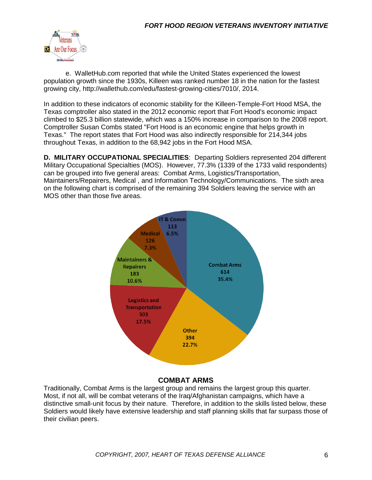

e. WalletHub.com reported that while the United States experienced the lowest population growth since the 1930s, Killeen was ranked number 18 in the nation for the fastest growing city, http://wallethub.com/edu/fastest-growing-cities/7010/, 2014.

In addition to these indicators of economic stability for the Killeen-Temple-Fort Hood MSA, the Texas comptroller also stated in the 2012 economic report that Fort Hood's economic impact climbed to \$25.3 billion statewide, which was a 150% increase in comparison to the 2008 report. Comptroller Susan Combs stated "Fort Hood is an economic engine that helps growth in Texas." The report states that Fort Hood was also indirectly responsible for 214,344 jobs throughout Texas, in addition to the 68,942 jobs in the Fort Hood MSA.

**D. MILITARY OCCUPATIONAL SPECIALITIES**: Departing Soldiers represented 204 different Military Occupational Specialties (MOS). However, 77.3% (1339 of the 1733 valid respondents) can be grouped into five general areas: Combat Arms, Logistics/Transportation, Maintainers/Repairers, Medical , and Information Technology/Communications. The sixth area on the following chart is comprised of the remaining 394 Soldiers leaving the service with an MOS other than those five areas.



#### **COMBAT ARMS**

Traditionally, Combat Arms is the largest group and remains the largest group this quarter. Most, if not all, will be combat veterans of the Iraq/Afghanistan campaigns, which have a distinctive small-unit focus by their nature. Therefore, in addition to the skills listed below, these Soldiers would likely have extensive leadership and staff planning skills that far surpass those of their civilian peers.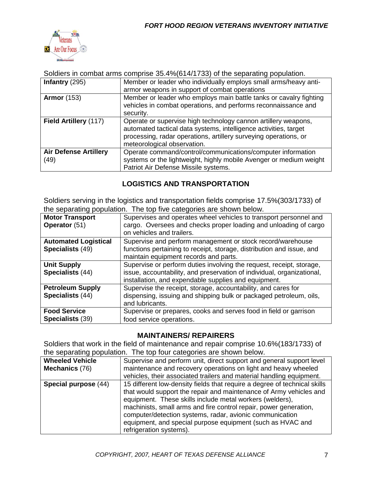

Soldiers in combat arms comprise 35.4%(614/1733) of the separating population.

| Infantry $(295)$                     | Member or leader who individually employs small arms/heavy anti-<br>armor weapons in support of combat operations                                                                                                                     |
|--------------------------------------|---------------------------------------------------------------------------------------------------------------------------------------------------------------------------------------------------------------------------------------|
| <b>Armor</b> (153)                   | Member or leader who employs main battle tanks or cavalry fighting<br>vehicles in combat operations, and performs reconnaissance and<br>security.                                                                                     |
| Field Artillery (117)                | Operate or supervise high technology cannon artillery weapons,<br>automated tactical data systems, intelligence activities, target<br>processing, radar operations, artillery surveying operations, or<br>meteorological observation. |
| <b>Air Defense Artillery</b><br>(49) | Operate command/control/communications/computer information<br>systems or the lightweight, highly mobile Avenger or medium weight<br>Patriot Air Defense Missile systems.                                                             |

#### **LOGISTICS AND TRANSPORTATION**

Soldiers serving in the logistics and transportation fields comprise 17.5%(303/1733) of the separating population. The top five categories are shown below.

| <b>Motor Transport</b><br>Operator (51)         | Supervises and operates wheel vehicles to transport personnel and<br>cargo. Oversees and checks proper loading and unloading of cargo<br>on vehicles and trailers.                                     |
|-------------------------------------------------|--------------------------------------------------------------------------------------------------------------------------------------------------------------------------------------------------------|
| <b>Automated Logistical</b><br>Specialists (49) | Supervise and perform management or stock record/warehouse<br>functions pertaining to receipt, storage, distribution and issue, and<br>maintain equipment records and parts.                           |
| <b>Unit Supply</b><br>Specialists (44)          | Supervise or perform duties involving the request, receipt, storage,<br>issue, accountability, and preservation of individual, organizational,<br>installation, and expendable supplies and equipment. |
| <b>Petroleum Supply</b><br>Specialists (44)     | Supervise the receipt, storage, accountability, and cares for<br>dispensing, issuing and shipping bulk or packaged petroleum, oils,<br>and lubricants.                                                 |
| <b>Food Service</b><br><b>Specialists (39)</b>  | Supervise or prepares, cooks and serves food in field or garrison<br>food service operations.                                                                                                          |

#### **MAINTAINERS/ REPAIRERS**

Soldiers that work in the field of maintenance and repair comprise 10.6%(183/1733) of the separating population. The top four categories are shown below.

| are coparating population. This top roar catogoned are chomic polonic |                                                                                                                                                                                                                                                                                                                                                                                                                                       |  |  |
|-----------------------------------------------------------------------|---------------------------------------------------------------------------------------------------------------------------------------------------------------------------------------------------------------------------------------------------------------------------------------------------------------------------------------------------------------------------------------------------------------------------------------|--|--|
| <b>Wheeled Vehicle</b>                                                | Supervise and perform unit, direct support and general support level                                                                                                                                                                                                                                                                                                                                                                  |  |  |
| <b>Mechanics (76)</b>                                                 | maintenance and recovery operations on light and heavy wheeled                                                                                                                                                                                                                                                                                                                                                                        |  |  |
|                                                                       | vehicles, their associated trailers and material handling equipment.                                                                                                                                                                                                                                                                                                                                                                  |  |  |
| Special purpose (44)                                                  | 15 different low-density fields that require a degree of technical skills<br>that would support the repair and maintenance of Army vehicles and<br>equipment. These skills include metal workers (welders),<br>machinists, small arms and fire control repair, power generation,<br>computer/detection systems, radar, avionic communication<br>equipment, and special purpose equipment (such as HVAC and<br>refrigeration systems). |  |  |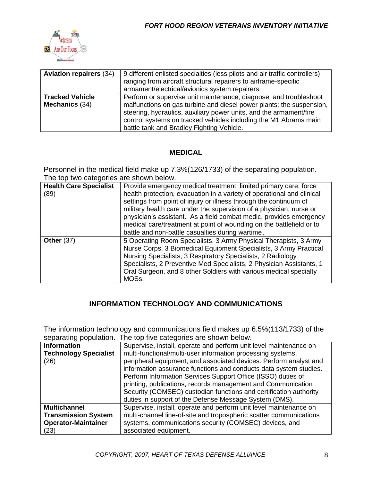

| <b>Aviation repairers (34)</b>           | 9 different enlisted specialties (less pilots and air traffic controllers)<br>ranging from aircraft structural repairers to airframe-specific<br>armament/electrical/avionics system repairers.                                                                                                                                  |
|------------------------------------------|----------------------------------------------------------------------------------------------------------------------------------------------------------------------------------------------------------------------------------------------------------------------------------------------------------------------------------|
| <b>Tracked Vehicle</b><br>Mechanics (34) | Perform or supervise unit maintenance, diagnose, and troubleshoot<br>malfunctions on gas turbine and diesel power plants; the suspension,<br>steering, hydraulics, auxiliary power units, and the armament/fire<br>control systems on tracked vehicles including the M1 Abrams main<br>battle tank and Bradley Fighting Vehicle. |

#### **MEDICAL**

Personnel in the medical field make up 7.3%(126/1733) of the separating population. The top two categories are shown below.

| <b>Health Care Specialist</b><br>(89) | Provide emergency medical treatment, limited primary care, force<br>health protection, evacuation in a variety of operational and clinical<br>settings from point of injury or illness through the continuum of<br>military health care under the supervision of a physician, nurse or<br>physician's assistant. As a field combat medic, provides emergency<br>medical care/treatment at point of wounding on the battlefield or to<br>battle and non-battle casualties during wartime. |
|---------------------------------------|------------------------------------------------------------------------------------------------------------------------------------------------------------------------------------------------------------------------------------------------------------------------------------------------------------------------------------------------------------------------------------------------------------------------------------------------------------------------------------------|
| Other $(37)$                          | 5 Operating Room Specialists, 3 Army Physical Therapists, 3 Army<br>Nurse Corps, 3 Biomedical Equipment Specialists, 3 Army Practical<br>Nursing Specialists, 3 Respiratory Specialists, 2 Radiology<br>Specialists, 2 Preventive Med Specialists, 2 Physician Assistants, 1<br>Oral Surgeon, and 8 other Soldiers with various medical specialty<br>MOSs.                                                                                                                               |

#### **INFORMATION TECHNOLOGY AND COMMUNICATIONS**

The information technology and communications field makes up 6.5%(113/1733) of the separating population. The top five categories are shown below.

| <b>Information</b>           | Supervise, install, operate and perform unit level maintenance on  |
|------------------------------|--------------------------------------------------------------------|
| <b>Technology Specialist</b> | multi-functional/multi-user information processing systems,        |
| (26)                         | peripheral equipment, and associated devices. Perform analyst and  |
|                              | information assurance functions and conducts data system studies.  |
|                              | Perform Information Services Support Office (ISSO) duties of       |
|                              | printing, publications, records management and Communication       |
|                              | Security (COMSEC) custodian functions and certification authority  |
|                              | duties in support of the Defense Message System (DMS).             |
| <b>Multichannel</b>          | Supervise, install, operate and perform unit level maintenance on  |
| <b>Transmission System</b>   | multi-channel line-of-site and tropospheric scatter communications |
| <b>Operator-Maintainer</b>   | systems, communications security (COMSEC) devices, and             |
| (23)                         | associated equipment.                                              |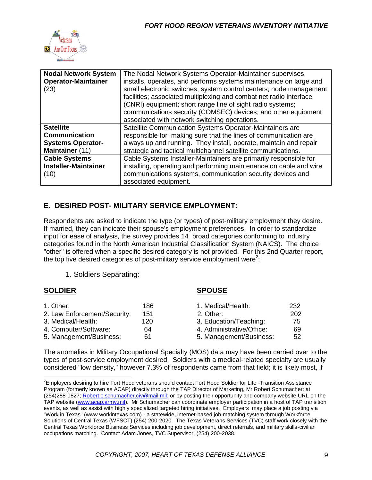

| <b>Nodal Network System</b><br><b>Operator-Maintainer</b><br>(23) | The Nodal Network Systems Operator-Maintainer supervises,<br>installs, operates, and performs systems maintenance on large and<br>small electronic switches; system control centers; node management<br>facilities; associated multiplexing and combat net radio interface<br>(CNRI) equipment; short range line of sight radio systems;<br>communications security (COMSEC) devices; and other equipment<br>associated with network switching operations. |
|-------------------------------------------------------------------|------------------------------------------------------------------------------------------------------------------------------------------------------------------------------------------------------------------------------------------------------------------------------------------------------------------------------------------------------------------------------------------------------------------------------------------------------------|
| <b>Satellite</b>                                                  | Satellite Communication Systems Operator-Maintainers are                                                                                                                                                                                                                                                                                                                                                                                                   |
| <b>Communication</b>                                              | responsible for making sure that the lines of communication are                                                                                                                                                                                                                                                                                                                                                                                            |
| <b>Systems Operator-</b>                                          | always up and running. They install, operate, maintain and repair                                                                                                                                                                                                                                                                                                                                                                                          |
| Maintainer (11)                                                   | strategic and tactical multichannel satellite communications.                                                                                                                                                                                                                                                                                                                                                                                              |
| <b>Cable Systems</b>                                              | Cable Systems Installer-Maintainers are primarily responsible for                                                                                                                                                                                                                                                                                                                                                                                          |
| <b>Installer-Maintainer</b>                                       | installing, operating and performing maintenance on cable and wire                                                                                                                                                                                                                                                                                                                                                                                         |
| (10)                                                              | communications systems, communication security devices and                                                                                                                                                                                                                                                                                                                                                                                                 |
|                                                                   | associated equipment.                                                                                                                                                                                                                                                                                                                                                                                                                                      |

### **E. DESIRED POST- MILITARY SERVICE EMPLOYMENT:**

Respondents are asked to indicate the type (or types) of post-military employment they desire. If married, they can indicate their spouse's employment preferences. In order to standardize input for ease of analysis, the survey provides 14 broad categories conforming to industry categories found in the North American Industrial Classification System (NAICS). The choice "other" is offered when a specific desired category is not provided. For this 2nd Quarter report, the top five desired categories of post-military service employment were<sup>2</sup>:

1. Soldiers Separating:

#### **SOLDIER SPOUSE**

| 1. Other:                    | 186. | 1. Medical/Health:        | 232 |
|------------------------------|------|---------------------------|-----|
| 2. Law Enforcement/Security: | 151  | 2. Other:                 | 202 |
| 3. Medical/Health:           | 120  | 3. Education/Teaching:    | 75  |
| 4. Computer/Software:        | 64   | 4. Administrative/Office: | 69  |
| 5. Management/Business:      | 61   | 5. Management/Business:   | 52  |

The anomalies in Military Occupational Specialty (MOS) data may have been carried over to the types of post-service employment desired. Soldiers with a medical-related specialty are usually considered "low density," however 7.3% of respondents came from that field; it is likely most, if

<sup>&</sup>lt;sup>2</sup>Employers desiring to hire Fort Hood veterans should contact Fort Hood Soldier for Life -Transition Assistance Program (formerly known as ACAP) directly through the TAP Director of Marketing, Mr Robert Schumacher: at (254)288-0827; [Robert.c.schumacher.civ@mail.mil;](mailto:Robert.c.schumacher.civ@mail.mil) or by posting their opportunity and company website URL on the TAP website [\(www.acap.army.mil\)](http://www.acap.army.mil/). Mr Schumacher can coordinate employer participation in a host of TAP transition events, as well as assist with highly specialized targeted hiring initiatives. Employers may place a job posting via "Work in Texas" (www.workintexas.com) - a statewide, internet-based job-matching system through Workforce Solutions of Central Texas (WFSCT) (254) 200-2020. The Texas Veterans Services (TVC) staff work closely with the Central Texas Workforce Business Services including job development, direct referrals, and military skills-civilian occupations matching. Contact Adam Jones, TVC Supervisor, (254) 200-2038.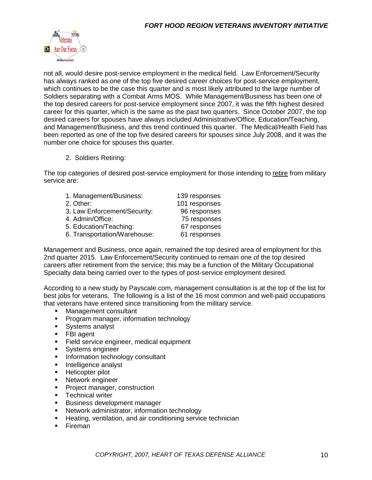

not all, would desire post-service employment in the medical field. Law Enforcement/Security has always ranked as one of the top five desired career choices for post-service employment, which continues to be the case this quarter and is most likely attributed to the large number of Soldiers separating with a Combat Arms MOS. While Management/Business has been one of the top desired careers for post-service employment since 2007, it was the fifth highest desired career for this quarter, which is the same as the past two quarters. Since October 2007, the top desired careers for spouses have always included Administrative/Office, Education/Teaching, and Management/Business, and this trend continued this quarter. The Medical/Health Field has been reported as one of the top five desired careers for spouses since July 2008, and it was the number one choice for spouses this quarter.

2. Soldiers Retiring:

The top categories of desired post-service employment for those intending to retire from military service are:

| 1. Management/Business:      | 139 responses |
|------------------------------|---------------|
| 2. Other:                    | 101 responses |
| 3. Law Enforcement/Security: | 96 responses  |
| 4. Admin/Office:             | 75 responses  |
| 5. Education/Teaching:       | 67 responses  |
| 6. Transportation/Warehouse: | 61 responses  |
|                              |               |

Management and Business, once again, remained the top desired area of employment for this 2nd quarter 2015. Law Enforcement/Security continued to remain one of the top desired careers after retirement from the service; this may be a function of the Military Occupational Specialty data being carried over to the types of post-service employment desired.

According to a new study by Payscale.com, management consultation is at the top of the list for best jobs for veterans. The following is a list of the 16 most common and well-paid occupations that veterans have entered since transitioning from the military service.

- Management consultant
- **Program manager, information technology**
- **Systems analyst**
- **FBI** agent
- **Field service engineer, medical equipment**
- **Systems engineer**
- **Information technology consultant**
- **Intelligence analyst**
- **Helicopter pilot**
- **Network engineer**
- **Project manager, construction**
- **Technical writer**
- **Business development manager**
- Network administrator, information technology
- **Heating, ventilation, and air conditioning service technician**
- **Fireman**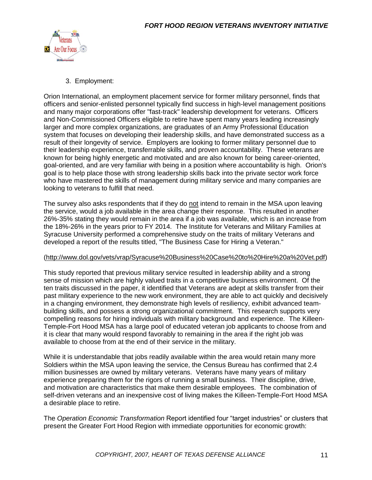

3. Employment:

Orion International, an employment placement service for former military personnel, finds that officers and senior-enlisted personnel typically find success in high-level management positions and many major corporations offer "fast-track" leadership development for veterans. Officers and Non-Commissioned Officers eligible to retire have spent many years leading increasingly larger and more complex organizations, are graduates of an Army Professional Education system that focuses on developing their leadership skills, and have demonstrated success as a result of their longevity of service. Employers are looking to former military personnel due to their leadership experience, transferrable skills, and proven accountability. These veterans are known for being highly energetic and motivated and are also known for being career-oriented, goal-oriented, and are very familiar with being in a position where accountability is high. Orion's goal is to help place those with strong leadership skills back into the private sector work force who have mastered the skills of management during military service and many companies are looking to veterans to fulfill that need.

The survey also asks respondents that if they do not intend to remain in the MSA upon leaving the service, would a job available in the area change their response. This resulted in another 26%-35% stating they would remain in the area if a job was available, which is an increase from the 18%-26% in the years prior to FY 2014. The Institute for Veterans and Military Families at Syracuse University performed a comprehensive study on the traits of military Veterans and developed a report of the results titled, "The Business Case for Hiring a Veteran."

#### [\(http://www.dol.gov/vets/vrap/Syracuse%20Business%20Case%20to%20Hire%20a%20Vet.pdf\)](http://www.dol.gov/vets/vrap/Syracuse%20Business%20Case%20to%20Hire%20a%20Vet.pdf)

This study reported that previous military service resulted in leadership ability and a strong sense of mission which are highly valued traits in a competitive business environment. Of the ten traits discussed in the paper, it identified that Veterans are adept at skills transfer from their past military experience to the new work environment, they are able to act quickly and decisively in a changing environment, they demonstrate high levels of resiliency, exhibit advanced teambuilding skills, and possess a strong organizational commitment. This research supports very compelling reasons for hiring individuals with military background and experience. The Killeen-Temple-Fort Hood MSA has a large pool of educated veteran job applicants to choose from and it is clear that many would respond favorably to remaining in the area if the right job was available to choose from at the end of their service in the military.

While it is understandable that jobs readily available within the area would retain many more Soldiers within the MSA upon leaving the service, the Census Bureau has confirmed that 2.4 million businesses are owned by military veterans. Veterans have many years of military experience preparing them for the rigors of running a small business. Their discipline, drive, and motivation are characteristics that make them desirable employees. The combination of self-driven veterans and an inexpensive cost of living makes the Killeen-Temple-Fort Hood MSA a desirable place to retire.

The *Operation Economic Transformation* Report identified four "target industries" or clusters that present the Greater Fort Hood Region with immediate opportunities for economic growth: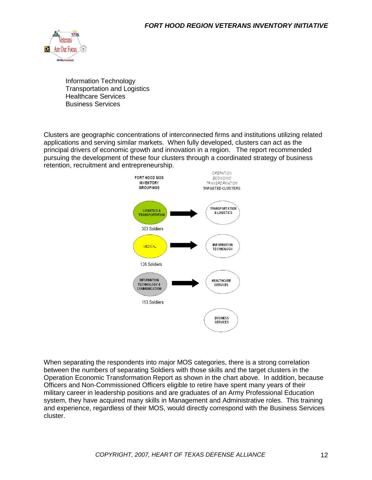

Information Technology Transportation and Logistics Healthcare Services Business Services

Clusters are geographic concentrations of interconnected firms and institutions utilizing related applications and serving similar markets. When fully developed, clusters can act as the principal drivers of economic growth and innovation in a region. The report recommended pursuing the development of these four clusters through a coordinated strategy of business retention, recruitment and entrepreneurship.



When separating the respondents into major MOS categories, there is a strong correlation between the numbers of separating Soldiers with those skills and the target clusters in the Operation Economic Transformation Report as shown in the chart above. In addition, because Officers and Non-Commissioned Officers eligible to retire have spent many years of their military career in leadership positions and are graduates of an Army Professional Education system, they have acquired many skills in Management and Administrative roles. This training and experience, regardless of their MOS, would directly correspond with the Business Services cluster.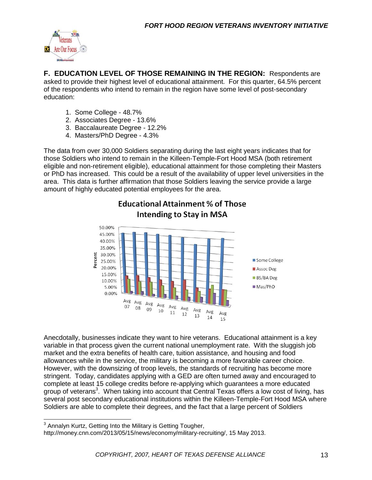

**F. EDUCATION LEVEL OF THOSE REMAINING IN THE REGION:** Respondents are asked to provide their highest level of educational attainment. For this quarter, 64.5% percent of the respondents who intend to remain in the region have some level of post-secondary education:

- 1. Some College 48.7%
- 2. Associates Degree 13.6%
- 3. Baccalaureate Degree 12.2%
- 4. Masters/PhD Degree 4.3%

The data from over 30,000 Soldiers separating during the last eight years indicates that for those Soldiers who intend to remain in the Killeen-Temple-Fort Hood MSA (both retirement eligible and non-retirement eligible), educational attainment for those completing their Masters or PhD has increased. This could be a result of the availability of upper level universities in the area. This data is further affirmation that those Soldiers leaving the service provide a large amount of highly educated potential employees for the area.

**Educational Attainment % of Those** 



Anecdotally, businesses indicate they want to hire veterans. Educational attainment is a key variable in that process given the current national unemployment rate. With the sluggish job market and the extra benefits of health care, tuition assistance, and housing and food allowances while in the service, the military is becoming a more favorable career choice. However, with the downsizing of troop levels, the standards of recruiting has become more stringent. Today, candidates applying with a GED are often turned away and encouraged to complete at least 15 college credits before re-applying which guarantees a more educated group of veterans<sup>3</sup>. When taking into account that Central Texas offers a low cost of living, has several post secondary educational institutions within the Killeen-Temple-Fort Hood MSA where Soldiers are able to complete their degrees, and the fact that a large percent of Soldiers

 3 Annalyn Kurtz, Getting Into the Military is Getting Tougher,

http://money.cnn.com/2013/05/15/news/economy/military-recruiting/, 15 May 2013.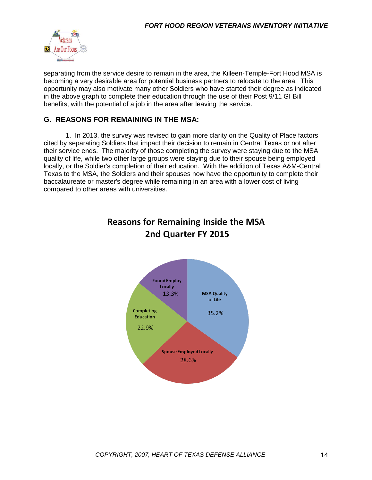

separating from the service desire to remain in the area, the Killeen-Temple-Fort Hood MSA is becoming a very desirable area for potential business partners to relocate to the area. This opportunity may also motivate many other Soldiers who have started their degree as indicated in the above graph to complete their education through the use of their Post 9/11 GI Bill benefits, with the potential of a job in the area after leaving the service.

#### **G. REASONS FOR REMAINING IN THE MSA:**

1. In 2013, the survey was revised to gain more clarity on the Quality of Place factors cited by separating Soldiers that impact their decision to remain in Central Texas or not after their service ends. The majority of those completing the survey were staying due to the MSA quality of life, while two other large groups were staying due to their spouse being employed locally, or the Soldier's completion of their education. With the addition of Texas A&M-Central Texas to the MSA, the Soldiers and their spouses now have the opportunity to complete their baccalaureate or master's degree while remaining in an area with a lower cost of living compared to other areas with universities.



## **Reasons for Remaining Inside the MSA** 2nd Quarter FY 2015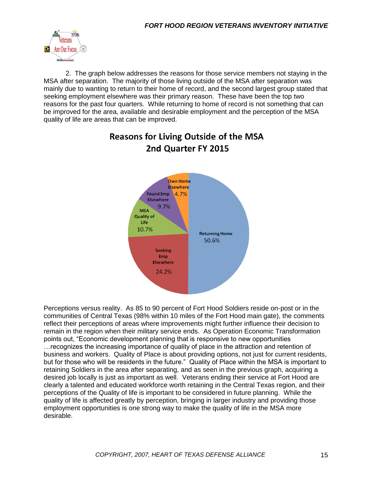

2. The graph below addresses the reasons for those service members not staying in the MSA after separation. The majority of those living outside of the MSA after separation was mainly due to wanting to return to their home of record, and the second largest group stated that seeking employment elsewhere was their primary reason. These have been the top two reasons for the past four quarters. While returning to home of record is not something that can be improved for the area, available and desirable employment and the perception of the MSA quality of life are areas that can be improved.



# **Reasons for Living Outside of the MSA** 2nd Quarter FY 2015

Perceptions versus reality. As 85 to 90 percent of Fort Hood Soldiers reside on-post or in the communities of Central Texas (98% within 10 miles of the Fort Hood main gate), the comments reflect their perceptions of areas where improvements might further influence their decision to remain in the region when their military service ends. As Operation Economic Transformation points out, "Economic development planning that is responsive to new opportunities …recognizes the increasing importance of quality of place in the attraction and retention of business and workers. Quality of Place is about providing options, not just for current residents, but for those who will be residents in the future." Quality of Place within the MSA is important to retaining Soldiers in the area after separating, and as seen in the previous graph, acquiring a desired job locally is just as important as well. Veterans ending their service at Fort Hood are clearly a talented and educated workforce worth retaining in the Central Texas region, and their perceptions of the Quality of life is important to be considered in future planning. While the quality of life is affected greatly by perception, bringing in larger industry and providing those employment opportunities is one strong way to make the quality of life in the MSA more desirable.